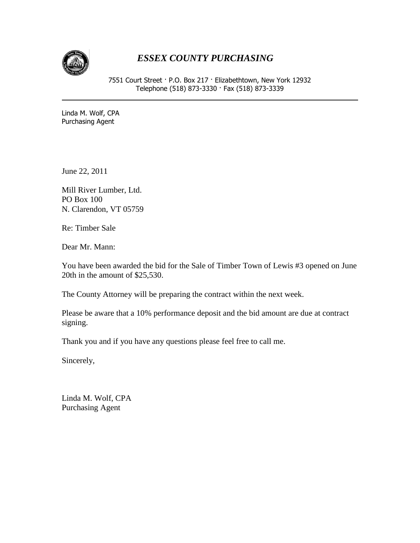

## *ESSEX COUNTY PURCHASING*

7551 Court Street · P.O. Box 217 · Elizabethtown, New York 12932 Telephone (518) 873-3330 · Fax (518) 873-3339

Linda M. Wolf, CPA Purchasing Agent

June 22, 2011

Mill River Lumber, Ltd. PO Box 100 N. Clarendon, VT 05759

Re: Timber Sale

Dear Mr. Mann:

You have been awarded the bid for the Sale of Timber Town of Lewis #3 opened on June 20th in the amount of \$25,530.

The County Attorney will be preparing the contract within the next week.

Please be aware that a 10% performance deposit and the bid amount are due at contract signing.

Thank you and if you have any questions please feel free to call me.

Sincerely,

Linda M. Wolf, CPA Purchasing Agent